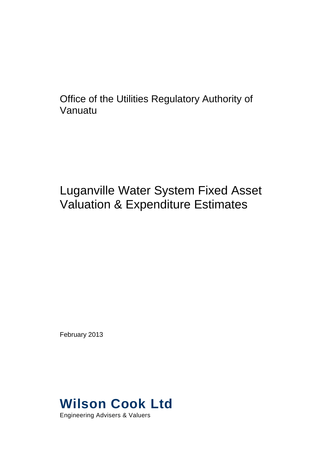Office of the Utilities Regulatory Authority of Vanuatu

# Luganville Water System Fixed Asset Valuation & Expenditure Estimates

February 2013

# **Wilson Cook Ltd**

Engineering Advisers & Valuers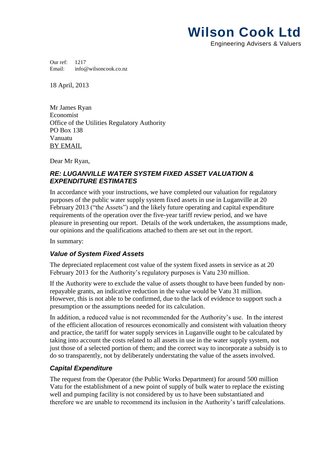# **Wilson Cook Ltd**

Engineering Advisers & Valuers

Our ref: 1217 Email: info@wilsoncook.co.nz

18 April, 2013

Mr James Ryan Economist Office of the Utilities Regulatory Authority PO Box 138 Vanuatu BY EMAIL

Dear Mr Ryan,

# *RE: LUGANVILLE WATER SYSTEM FIXED ASSET VALUATION & EXPENDITURE ESTIMATES*

In accordance with your instructions, we have completed our valuation for regulatory purposes of the public water supply system fixed assets in use in Luganville at 20 February 2013 ("the Assets") and the likely future operating and capital expenditure requirements of the operation over the five-year tariff review period, and we have pleasure in presenting our report. Details of the work undertaken, the assumptions made, our opinions and the qualifications attached to them are set out in the report.

In summary:

# *Value of System Fixed Assets*

The depreciated replacement cost value of the system fixed assets in service as at 20 February 2013 for the Authority's regulatory purposes is Vatu 230 million.

If the Authority were to exclude the value of assets thought to have been funded by nonrepayable grants, an indicative reduction in the value would be Vatu 31 million. However, this is not able to be confirmed, due to the lack of evidence to support such a presumption or the assumptions needed for its calculation.

In addition, a reduced value is not recommended for the Authority's use. In the interest of the efficient allocation of resources economically and consistent with valuation theory and practice, the tariff for water supply services in Luganville ought to be calculated by taking into account the costs related to all assets in use in the water supply system, not just those of a selected portion of them; and the correct way to incorporate a subsidy is to do so transparently, not by deliberately understating the value of the assets involved.

# *Capital Expenditure*

The request from the Operator (the Public Works Department) for around 500 million Vatu for the establishment of a new point of supply of bulk water to replace the existing well and pumping facility is not considered by us to have been substantiated and therefore we are unable to recommend its inclusion in the Authority's tariff calculations.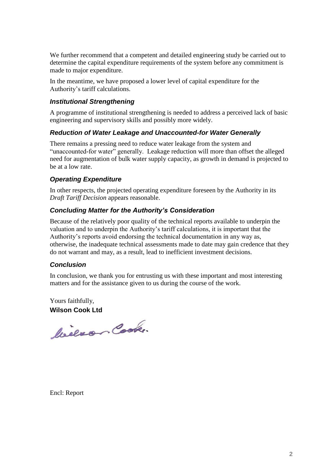We further recommend that a competent and detailed engineering study be carried out to determine the capital expenditure requirements of the system before any commitment is made to major expenditure.

In the meantime, we have proposed a lower level of capital expenditure for the Authority's tariff calculations.

# *Institutional Strengthening*

A programme of institutional strengthening is needed to address a perceived lack of basic engineering and supervisory skills and possibly more widely.

# *Reduction of Water Leakage and Unaccounted-for Water Generally*

There remains a pressing need to reduce water leakage from the system and "unaccounted-for water" generally. Leakage reduction will more than offset the alleged need for augmentation of bulk water supply capacity, as growth in demand is projected to be at a low rate.

# *Operating Expenditure*

In other respects, the projected operating expenditure foreseen by the Authority in its *Draft Tariff Decision* appears reasonable.

# *Concluding Matter for the Authority's Consideration*

Because of the relatively poor quality of the technical reports available to underpin the valuation and to underpin the Authority's tariff calculations, it is important that the Authority's reports avoid endorsing the technical documentation in any way as, otherwise, the inadequate technical assessments made to date may gain credence that they do not warrant and may, as a result, lead to inefficient investment decisions.

# *Conclusion*

In conclusion, we thank you for entrusting us with these important and most interesting matters and for the assistance given to us during the course of the work.

Yours faithfully, **Wilson Cook Ltd**

bieno Cook.

Encl: Report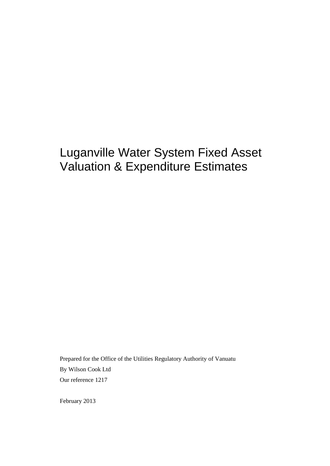# Luganville Water System Fixed Asset Valuation & Expenditure Estimates

Prepared for the Office of the Utilities Regulatory Authority of Vanuatu By Wilson Cook Ltd Our reference 1217

February 2013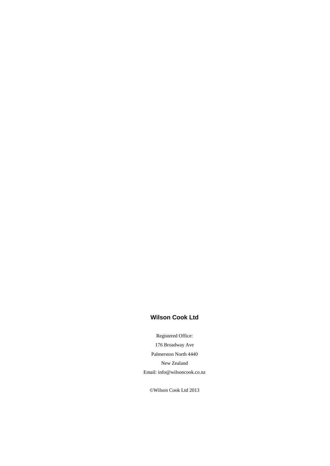# **Wilson Cook Ltd**

Registered Office: 176 Broadway Ave Palmerston North 4440 New Zealand Email: [info@wilsoncook.co.nz](mailto:info@wilsoncook.co.nz)

©Wilson Cook Ltd 2013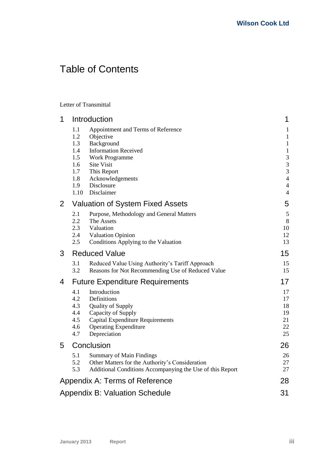# Table of Contents

Letter of Transmittal

| 1              |                                                                     | Introduction                                                                                                                                                                                              | 1                                                                                                                                                                     |
|----------------|---------------------------------------------------------------------|-----------------------------------------------------------------------------------------------------------------------------------------------------------------------------------------------------------|-----------------------------------------------------------------------------------------------------------------------------------------------------------------------|
|                | 1.1<br>1.2<br>1.3<br>1.4<br>1.5<br>1.6<br>1.7<br>1.8<br>1.9<br>1.10 | Appointment and Terms of Reference<br>Objective<br>Background<br><b>Information Received</b><br><b>Work Programme</b><br><b>Site Visit</b><br>This Report<br>Acknowledgements<br>Disclosure<br>Disclaimer | $\mathbf{1}$<br>$\mathbf{1}$<br>$\mathbf{1}$<br>$\mathbf{1}$<br>3<br>$\mathfrak{Z}$<br>$\mathfrak{Z}$<br>$\overline{4}$<br>$\overline{\mathcal{A}}$<br>$\overline{4}$ |
| $\overline{2}$ |                                                                     | <b>Valuation of System Fixed Assets</b>                                                                                                                                                                   | 5                                                                                                                                                                     |
|                | 2.1<br>2.2<br>2.3<br>2.4<br>2.5                                     | Purpose, Methodology and General Matters<br>The Assets<br>Valuation<br><b>Valuation Opinion</b><br>Conditions Applying to the Valuation                                                                   | $\mathfrak s$<br>8<br>10<br>12<br>13                                                                                                                                  |
| 3              |                                                                     | <b>Reduced Value</b>                                                                                                                                                                                      | 15                                                                                                                                                                    |
|                | 3.1<br>3.2                                                          | Reduced Value Using Authority's Tariff Approach<br>Reasons for Not Recommending Use of Reduced Value                                                                                                      | 15<br>15                                                                                                                                                              |
| 4              |                                                                     | <b>Future Expenditure Requirements</b>                                                                                                                                                                    | 17                                                                                                                                                                    |
|                | 4.1<br>4.2<br>4.3<br>4.4<br>4.5<br>4.6<br>4.7                       | Introduction<br>Definitions<br><b>Quality of Supply</b><br>Capacity of Supply<br><b>Capital Expenditure Requirements</b><br><b>Operating Expenditure</b><br>Depreciation                                  | 17<br>17<br>18<br>19<br>21<br>22<br>25                                                                                                                                |
| 5              |                                                                     | Conclusion                                                                                                                                                                                                | 26                                                                                                                                                                    |
|                | 5.1<br>5.2<br>5.3                                                   | <b>Summary of Main Findings</b><br>Other Matters for the Authority's Consideration<br>Additional Conditions Accompanying the Use of this Report                                                           | 26<br>27<br>27                                                                                                                                                        |
|                |                                                                     | Appendix A: Terms of Reference                                                                                                                                                                            | 28                                                                                                                                                                    |
|                |                                                                     | <b>Appendix B: Valuation Schedule</b>                                                                                                                                                                     | 31                                                                                                                                                                    |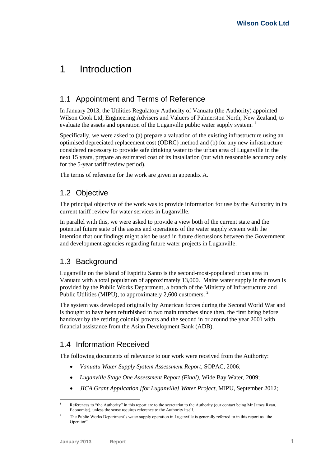# <span id="page-6-0"></span>1 Introduction

# <span id="page-6-1"></span>1.1 Appointment and Terms of Reference

In January 2013, the Utilities Regulatory Authority of Vanuatu (the Authority) appointed Wilson Cook Ltd, Engineering Advisers and Valuers of Palmerston North, New Zealand, to evaluate the assets and operation of the Luganville public water supply system.<sup>1</sup>

Specifically, we were asked to (a) prepare a valuation of the existing infrastructure using an optimised depreciated replacement cost (ODRC) method and (b) for any new infrastructure considered necessary to provide safe drinking water to the urban area of Luganville in the next 15 years, prepare an estimated cost of its installation (but with reasonable accuracy only for the 5-year tariff review period).

<span id="page-6-2"></span>The terms of reference for the work are given in appendix A.

# 1.2 Objective

The principal objective of the work was to provide information for use by the Authority in its current tariff review for water services in Luganville.

In parallel with this, we were asked to provide a view both of the current state and the potential future state of the assets and operations of the water supply system with the intention that our findings might also be used in future discussions between the Government and development agencies regarding future water projects in Luganville.

# <span id="page-6-3"></span>1.3 Background

Luganville on the island of Espiritu Santo is the second-most-populated urban area in Vanuatu with a total population of approximately 13,000. Mains water supply in the town is provided by the Public Works Department, a branch of the Ministry of Infrastructure and Public Utilities (MIPU), to approximately 2,600 customers.<sup>2</sup>

The system was developed originally by American forces during the Second World War and is thought to have been refurbished in two main tranches since then, the first being before handover by the retiring colonial powers and the second in or around the year 2001 with financial assistance from the Asian Development Bank (ADB).

# <span id="page-6-4"></span>1.4 Information Received

The following documents of relevance to our work were received from the Authority:

- *Vanuatu Water Supply System Assessment Report*, SOPAC, 2006;
- *Luganville Stage One Assessment Report (Final)*, Wide Bay Water, 2009;
- *JICA Grant Application [for Luganville] Water Project*, MIPU, September 2012;

<sup>1</sup> References to "the Authority" in this report are to the secretariat to the Authority (our contact being Mr James Ryan, Economist), unless the sense requires reference to the Authority itself.

<sup>&</sup>lt;sup>2</sup> The Public Works Department's water supply operation in Luganville is generally referred to in this report as "the Operator"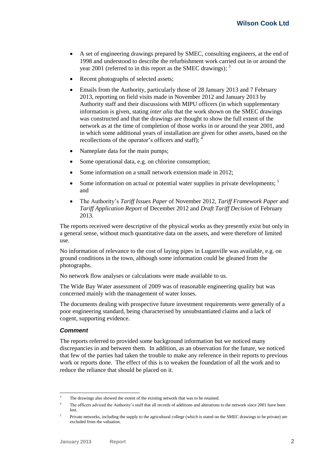- A set of engineering drawings prepared by SMEC, consulting engineers, at the end of 1998 and understood to describe the refurbishment work carried out in or around the year 2001 (referred to in this report as the SMEC drawings);  $3$
- Recent photographs of selected assets;
- Emails from the Authority, particularly those of 28 January 2013 and 7 February 2013, reporting on field visits made in November 2012 and January 2013 by Authority staff and their discussions with MIPU officers (in which supplementary information is given, stating *inter alia* that the work shown on the SMEC drawings was constructed and that the drawings are thought to show the full extent of the network as at the time of completion of those works in or around the year 2001, and in which some additional years of installation are given for other assets, based on the recollections of the operator's officers and staff);  $\frac{4}{3}$
- Nameplate data for the main pumps;
- Some operational data, e.g. on chlorine consumption;
- <span id="page-7-0"></span>Some information on a small network extension made in 2012;
- Some information on actual or potential water supplies in private developments;  $\frac{5}{1}$ and
- The Authority's *Tariff Issues Paper* of November 2012, *Tariff Framework Paper* and *Tariff Application Report* of December 2012 and *Draft Tariff Decision* of February 2013.

The reports received were descriptive of the physical works as they presently exist but only in a general sense, without much quantitative data on the assets, and were therefore of limited use.

No information of relevance to the cost of laying pipes in Luganville was available, e.g. on ground conditions in the town, although some information could be gleaned from the photographs.

No network flow analyses or calculations were made available to us.

The Wide Bay Water assessment of 2009 was of reasonable engineering quality but was concerned mainly with the management of water losses.

The documents dealing with prospective future investment requirements were generally of a poor engineering standard, being characterised by unsubstantiated claims and a lack of cogent, supporting evidence.

#### *Comment*

The reports referred to provided some background information but we noticed many discrepancies in and between them. In addition, as an observation for the future, we noticed that few of the parties had taken the trouble to make any reference in their reports to previous work or reports done. The effect of this is to weaken the foundation of all the work and to reduce the reliance that should be placed on it.

<sup>1</sup> The drawings also showed the extent of the existing network that was to be retained.

<sup>&</sup>lt;sup>4</sup> The officers advised the Authority's staff that all records of additions and alterations to the network since 2001 have been lost.

<sup>5</sup> Private networks, including the supply to the agricultural college (which is stated on the SMEC drawings to be private) are excluded from the valuation.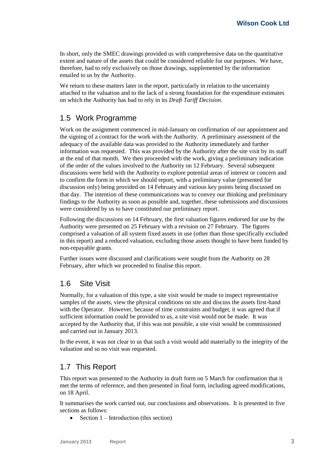In short, only the SMEC drawings provided us with comprehensive data on the quantitative extent and nature of the assets that could be considered reliable for our purposes. We have, therefore, had to rely exclusively on those drawings, supplemented by the information emailed to us by the Authority.

We return to these matters later in the report, particularly in relation to the uncertainty attached to the valuation and to the lack of a strong foundation for the expenditure estimates on which the Authority has had to rely in its *Draft Tariff Decision*.

# <span id="page-8-0"></span>1.5 Work Programme

Work on the assignment commenced in mid-January on confirmation of our appointment and the signing of a contract for the work with the Authority. A preliminary assessment of the adequacy of the available data was provided to the Authority immediately and further information was requested. This was provided by the Authority after the site visit by its staff at the end of that month. We then proceeded with the work, giving a preliminary indication of the order of the values involved to the Authority on 12 February. Several subsequent discussions were held with the Authority to explore potential areas of interest or concern and to confirm the form in which we should report, with a preliminary value (presented for discussion only) being provided on 14 February and various key points being discussed on that day. The intention of these communications was to convey our thinking and preliminary findings to the Authority as soon as possible and, together, these submissions and discussions were considered by us to have constituted our preliminary report.

Following the discussions on 14 February, the first valuation figures endorsed for use by the Authority were presented on 25 February with a revision on 27 February. The figures comprised a valuation of all system fixed assets in use (other than those specifically excluded in this report) and a reduced valuation, excluding those assets thought to have been funded by non-repayable grants.

Further issues were discussed and clarifications were sought from the Authority on 28 February, after which we proceeded to finalise this report.

# <span id="page-8-1"></span>1.6 Site Visit

Normally, for a valuation of this type, a site visit would be made to inspect representative samples of the assets, view the physical conditions on site and discuss the assets first-hand with the Operator. However, because of time constraints and budget, it was agreed that if sufficient information could be provided to us, a site visit would not be made. It was accepted by the Authority that, if this was not possible, a site visit would be commissioned and carried out in January 2013.

In the event, it was not clear to us that such a visit would add materially to the integrity of the valuation and so no visit was requested.

# <span id="page-8-2"></span>1.7 This Report

This report was presented to the Authority in draft form on 5 March for confirmation that it met the terms of reference, and then presented in final form, including agreed modifications, on 18 April.

It summarises the work carried out, our conclusions and observations. It is presented in five sections as follows:

• Section  $1$  – Introduction (this section)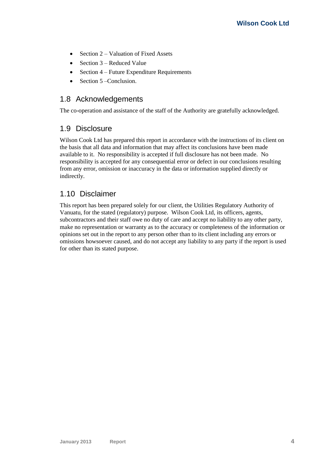- Section  $2 -$  Valuation of Fixed Assets
- Section  $3$  Reduced Value
- Section  $4$  Future Expenditure Requirements
- $\bullet$  Section 5 Conclusion.

# <span id="page-9-0"></span>1.8 Acknowledgements

<span id="page-9-1"></span>The co-operation and assistance of the staff of the Authority are gratefully acknowledged.

# 1.9 Disclosure

Wilson Cook Ltd has prepared this report in accordance with the instructions of its client on the basis that all data and information that may affect its conclusions have been made available to it. No responsibility is accepted if full disclosure has not been made. No responsibility is accepted for any consequential error or defect in our conclusions resulting from any error, omission or inaccuracy in the data or information supplied directly or indirectly.

# <span id="page-9-2"></span>1.10 Disclaimer

This report has been prepared solely for our client, the Utilities Regulatory Authority of Vanuatu, for the stated (regulatory) purpose. Wilson Cook Ltd, its officers, agents, subcontractors and their staff owe no duty of care and accept no liability to any other party, make no representation or warranty as to the accuracy or completeness of the information or opinions set out in the report to any person other than to its client including any errors or omissions howsoever caused, and do not accept any liability to any party if the report is used for other than its stated purpose.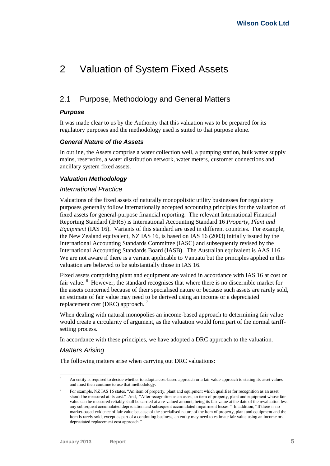# <span id="page-10-0"></span>2 Valuation of System Fixed Assets

# <span id="page-10-1"></span>2.1 Purpose, Methodology and General Matters

## *Purpose*

It was made clear to us by the Authority that this valuation was to be prepared for its regulatory purposes and the methodology used is suited to that purpose alone.

#### *General Nature of the Assets*

In outline, the Assets comprise a water collection well, a pumping station, bulk water supply mains, reservoirs, a water distribution network, water meters, customer connections and ancillary system fixed assets.

#### <span id="page-10-2"></span>*Valuation Methodology*

#### *International Practice*

Valuations of the fixed assets of naturally monopolistic utility businesses for regulatory purposes generally follow internationally accepted accounting principles for the valuation of fixed assets for general-purpose financial reporting. The relevant International Financial Reporting Standard (IFRS) is International Accounting Standard 16 *Property, Plant and Equipment* (IAS 16). Variants of this standard are used in different countries. For example, the New Zealand equivalent, NZ IAS 16, is based on IAS 16 (2003) initially issued by the International Accounting Standards Committee (IASC) and subsequently revised by the International Accounting Standards Board (IASB). The Australian equivalent is AAS 116. We are not aware if there is a variant applicable to Vanuatu but the principles applied in this valuation are believed to be substantially those in IAS 16.

Fixed assets comprising plant and equipment are valued in accordance with IAS 16 at cost or fair value. <sup>6</sup> However, the standard recognises that where there is no discernible market for the assets concerned because of their specialised nature or because such assets are rarely sold, an estimate of fair value may need to be derived using an income or a depreciated replacement cost (DRC) approach.

When dealing with natural monopolies an income-based approach to determining fair value would create a circularity of argument, as the valuation would form part of the normal tariffsetting process.

In accordance with these principles, we have adopted a DRC approach to the valuation.

## *Matters Arising*

The following matters arise when carrying out DRC valuations:

<sup>1</sup> An entity is required to decide whether to adopt a cost-based approach or a fair value approach to stating its asset values and must then continue to use that methodology.

<sup>7</sup> For example, NZ IAS 16 states, "An item of property, plant and equipment which qualifies for recognition as an asset should be measured at its cost." And, "After recognition as an asset, an item of property, plant and equipment whose fair value can be measured reliably shall be carried at a re-valued amount, being its fair value at the date of the revaluation less any subsequent accumulated depreciation and subsequent accumulated impairment losses." In addition, "If there is no market-based evidence of fair value because of the specialised nature of the item of property, plant and equipment and the item is rarely sold, except as part of a continuing business, an entity may need to estimate fair value using an income or a depreciated replacement cost approach."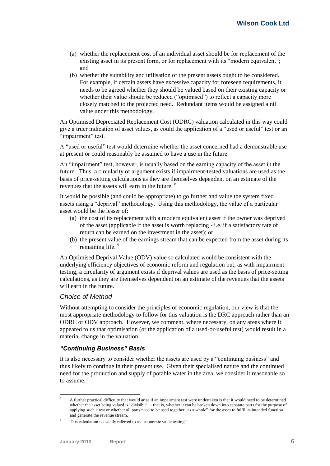- (a) whether the replacement cost of an individual asset should be for replacement of the existing asset in its present form, or for replacement with its "modern equivalent"; and
- (b) whether the suitability and utilisation of the present assets ought to be considered. For example, if certain assets have excessive capacity for foreseen requirements, it needs to be agreed whether they should be valued based on their existing capacity or whether their value should be reduced ("optimised") to reflect a capacity more closely matched to the projected need. Redundant items would be assigned a nil value under this methodology.

An Optimised Depreciated Replacement Cost (ODRC) valuation calculated in this way could give a truer indication of asset values, as could the application of a "used or useful" test or an "impairment" test.

A "used or useful" test would determine whether the asset concerned had a demonstrable use at present or could reasonably be assumed to have a use in the future.

An "impairment" test, however, is usually based on the earning capacity of the asset in the future. Thus, a circularity of argument exists if impairment-tested valuations are used as the basis of price-setting calculations as they are themselves dependent on an estimate of the revenues that the assets will earn in the future. <sup>8</sup>

It would be possible (and could be appropriate) to go further and value the system fixed assets using a "deprival" methodology. Using this methodology, the value of a particular asset would be the lesser of:

- (a) the cost of its replacement with a modern equivalent asset if the owner was deprived of the asset (applicable if the asset is worth replacing - i.e. if a satisfactory rate of return can be earned on the investment in the asset); or
- (b) the present value of the earnings stream that can be expected from the asset during its remaining life.<sup>9</sup>

An Optimised Deprival Value (ODV) value so calculated would be consistent with the underlying efficiency objectives of economic reform and regulation but, as with impairment testing, a circularity of argument exists if deprival values are used as the basis of price-setting calculations, as they are themselves dependent on an estimate of the revenues that the assets will earn in the future.

## *Choice of Method*

Without attempting to consider the principles of economic regulation, our view is that the most appropriate methodology to follow for this valuation is the DRC approach rather than an ODRC or ODV approach. However, we comment, where necessary, on any areas where it appeared to us that optimisation (or the application of a used-or-useful test) would result in a material change in the valuation.

## *"Continuing Business" Basis*

It is also necessary to consider whether the assets are used by a "continuing business" and thus likely to continue in their present use. Given their specialised nature and the continued need for the production and supply of potable water in the area, we consider it reasonable so to assume.

<sup>1</sup> <sup>8</sup> A further practical difficulty that would arise if an impairment test were undertaken is that it would need to be determined whether the asset being valued is "divisible" – that is, whether it can be broken down into separate parts for the purpose of applying such a test or whether all parts need to be used together "as a whole" for the asset to fulfil its intended function and generate the revenue stream.

This calculation is usually referred to as "economic value testing".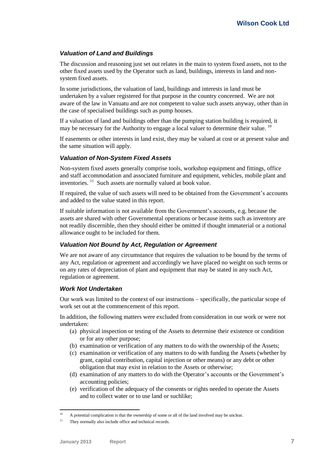## <span id="page-12-0"></span>*Valuation of Land and Buildings*

The discussion and reasoning just set out relates in the main to system fixed assets, not to the other fixed assets used by the Operator such as land, buildings, interests in land and nonsystem fixed assets.

In some jurisdictions, the valuation of land, buildings and interests in land must be undertaken by a valuer registered for that purpose in the country concerned. We are not aware of the law in Vanuatu and are not competent to value such assets anyway, other than in the case of specialised buildings such as pump houses.

If a valuation of land and buildings other than the pumping station building is required, it may be necessary for the Authority to engage a local valuer to determine their value.  $^{10}$ 

If easements or other interests in land exist, they may be valued at cost or at present value and the same situation will apply.

## *Valuation of Non-System Fixed Assets*

Non-system fixed assets generally comprise tools, workshop equipment and fittings, office and staff accommodation and associated furniture and equipment, vehicles, mobile plant and inventories.  $11$  Such assets are normally valued at book value.

If required, the value of such assets will need to be obtained from the Government's accounts and added to the value stated in this report.

If suitable information is not available from the Government's accounts, e.g. because the assets are shared with other Governmental operations or because items such as inventory are not readily discernible, then they should either be omitted if thought immaterial or a notional allowance ought to be included for them.

## *Valuation Not Bound by Act, Regulation or Agreement*

We are not aware of any circumstance that requires the valuation to be bound by the terms of any Act, regulation or agreement and accordingly we have placed no weight on such terms or on any rates of depreciation of plant and equipment that may be stated in any such Act, regulation or agreement.

#### *Work Not Undertaken*

Our work was limited to the context of our instructions – specifically, the particular scope of work set out at the commencement of this report.

In addition, the following matters were excluded from consideration in our work or were not undertaken:

- (a) physical inspection or testing of the Assets to determine their existence or condition or for any other purpose;
- (b) examination or verification of any matters to do with the ownership of the Assets;
- (c) examination or verification of any matters to do with funding the Assets (whether by grant, capital contribution, capital injection or other means) or any debt or other obligation that may exist in relation to the Assets or otherwise;
- (d) examination of any matters to do with the Operator's accounts or the Government's accounting policies;
- (e) verification of the adequacy of the consents or rights needed to operate the Assets and to collect water or to use land or suchlike;

 $10$ A potential complication is that the ownership of some or all of the land involved may be unclear.

 $11$  They normally also include office and technical records.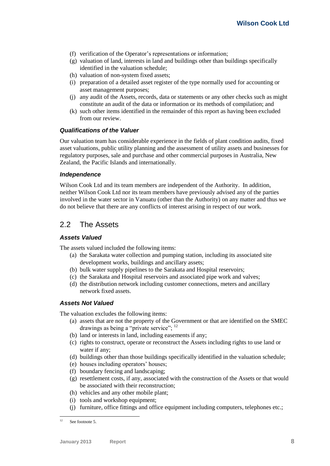- (f) verification of the Operator's representations or information;
- (g) valuation of land, interests in land and buildings other than buildings specifically identified in the valuation schedule;
- (h) valuation of non-system fixed assets;
- (i) preparation of a detailed asset register of the type normally used for accounting or asset management purposes;
- (j) any audit of the Assets, records, data or statements or any other checks such as might constitute an audit of the data or information or its methods of compilation; and
- (k) such other items identified in the remainder of this report as having been excluded from our review.

#### *Qualifications of the Valuer*

Our valuation team has considerable experience in the fields of plant condition audits, fixed asset valuations, public utility planning and the assessment of utility assets and businesses for regulatory purposes, sale and purchase and other commercial purposes in Australia, New Zealand, the Pacific Islands and internationally.

#### *Independence*

Wilson Cook Ltd and its team members are independent of the Authority. In addition, neither Wilson Cook Ltd nor its team members have previously advised any of the parties involved in the water sector in Vanuatu (other than the Authority) on any matter and thus we do not believe that there are any conflicts of interest arising in respect of our work.

# <span id="page-13-0"></span>2.2 The Assets

#### *Assets Valued*

The assets valued included the following items:

- (a) the Sarakata water collection and pumping station, including its associated site development works, buildings and ancillary assets;
- (b) bulk water supply pipelines to the Sarakata and Hospital reservoirs;
- (c) the Sarakata and Hospital reservoirs and associated pipe work and valves;
- (d) the distribution network including customer connections, meters and ancillary network fixed assets.

#### <span id="page-13-1"></span>*Assets Not Valued*

The valuation excludes the following items:

- (a) assets that are not the property of the Government or that are identified on the SMEC drawings as being a "private service"; <sup>12</sup>
- (b) land or interests in land, including easements if any;
- (c) rights to construct, operate or reconstruct the Assets including rights to use land or water if any;
- (d) buildings other than those buildings specifically identified in the valuation schedule;
- (e) houses including operators' houses;
- (f) boundary fencing and landscaping;
- (g) resettlement costs, if any, associated with the construction of the Assets or that would be associated with their reconstruction;
- (h) vehicles and any other mobile plant;
- (i) tools and workshop equipment;
- (j) furniture, office fittings and office equipment including computers, telephones etc.;

 $12$ See footnot[e 5.](#page-7-0)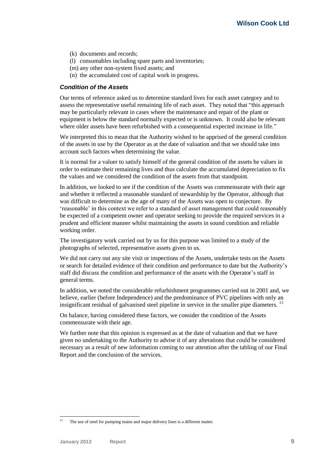- (k) documents and records;
- (l) consumables including spare parts and inventories;
- (m) any other non-system fixed assets; and
- (n) the accumulated cost of capital work in progress.

#### *Condition of the Assets*

Our terms of reference asked us to determine standard lives for each asset category and to assess the representative useful remaining life of each asset. They noted that "this approach may be particularly relevant in cases where the maintenance and repair of the plant or equipment is below the standard normally expected or is unknown. It could also be relevant where older assets have been refurbished with a consequential expected increase in life."

We interpreted this to mean that the Authority wished to be apprised of the general condition of the assets in use by the Operator as at the date of valuation and that we should take into account such factors when determining the value.

It is normal for a valuer to satisfy himself of the general condition of the assets he values in order to estimate their remaining lives and thus calculate the accumulated depreciation to fix the values and we considered the condition of the assets from that standpoint.

In addition, we looked to see if the condition of the Assets was commensurate with their age and whether it reflected a reasonable standard of stewardship by the Operator, although that was difficult to determine as the age of many of the Assets was open to conjecture. By 'reasonable' in this context we refer to a standard of asset management that could reasonably be expected of a competent owner and operator seeking to provide the required services in a prudent and efficient manner whilst maintaining the assets in sound condition and reliable working order.

The investigatory work carried out by us for this purpose was limited to a study of the photographs of selected, representative assets given to us.

We did not carry out any site visit or inspections of the Assets, undertake tests on the Assets or search for detailed evidence of their condition and performance to date but the Authority's staff did discuss the condition and performance of the assets with the Operator's staff in general terms.

In addition, we noted the considerable refurbishment programmes carried out in 2001 and, we believe, earlier (before Independence) and the predominance of PVC pipelines with only an insignificant residual of galvanised steel pipeline in service in the smaller pipe diameters.<sup>13</sup>

On balance, having considered these factors, we consider the condition of the Assets commensurate with their age.

We further note that this opinion is expressed as at the date of valuation and that we have given no undertaking to the Authority to advise it of any alterations that could be considered necessary as a result of new information coming to our attention after the tabling of our Final Report and the conclusion of the services.

<sup>-</sup>The use of steel for pumping mains and major delivery lines is a different matter.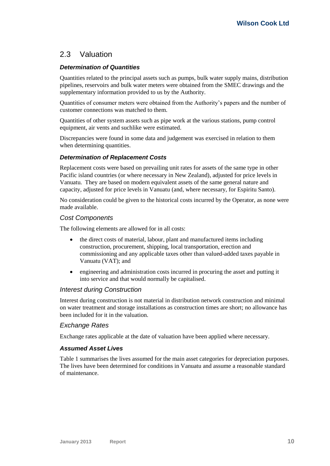# <span id="page-15-0"></span>2.3 Valuation

## *Determination of Quantities*

Quantities related to the principal assets such as pumps, bulk water supply mains, distribution pipelines, reservoirs and bulk water meters were obtained from the SMEC drawings and the supplementary information provided to us by the Authority.

Quantities of consumer meters were obtained from the Authority's papers and the number of customer connections was matched to them.

Quantities of other system assets such as pipe work at the various stations, pump control equipment, air vents and suchlike were estimated.

Discrepancies were found in some data and judgement was exercised in relation to them when determining quantities.

## *Determination of Replacement Costs*

Replacement costs were based on prevailing unit rates for assets of the same type in other Pacific island countries (or where necessary in New Zealand), adjusted for price levels in Vanuatu. They are based on modern equivalent assets of the same general nature and capacity, adjusted for price levels in Vanuatu (and, where necessary, for Espiritu Santo).

No consideration could be given to the historical costs incurred by the Operator, as none were made available.

#### *Cost Components*

The following elements are allowed for in all costs:

- the direct costs of material, labour, plant and manufactured items including construction, procurement, shipping, local transportation, erection and commissioning and any applicable taxes other than valued-added taxes payable in Vanuatu (VAT); and
- engineering and administration costs incurred in procuring the asset and putting it into service and that would normally be capitalised.

#### *Interest during Construction*

Interest during construction is not material in distribution network construction and minimal on water treatment and storage installations as construction times are short; no allowance has been included for it in the valuation.

## *Exchange Rates*

Exchange rates applicable at the date of valuation have been applied where necessary.

#### *Assumed Asset Lives*

[Table 1](#page-16-0) summarises the lives assumed for the main asset categories for depreciation purposes. The lives have been determined for conditions in Vanuatu and assume a reasonable standard of maintenance.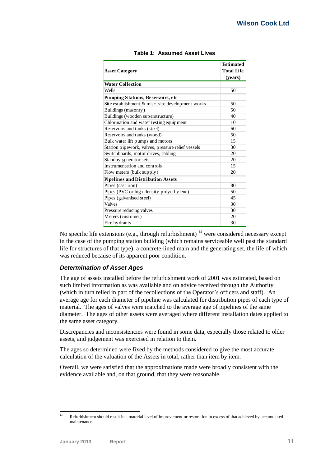<span id="page-16-0"></span>

|                                                   | <b>Estimated</b>  |
|---------------------------------------------------|-------------------|
| <b>Asset Category</b>                             | <b>Total Life</b> |
|                                                   | (years)           |
| <b>Water Collection</b>                           |                   |
| Wells                                             | 50                |
| <b>Pumping Stations, Reservoirs, etc</b>          |                   |
| Site establishment & misc. site development works | 50                |
| Buildings (masonry)                               | 50                |
| Buildings (wooden superstructure)                 | 40                |
| Chlorination and water testing equipment          | 10                |
| Reservoirs and tanks (steel)                      | 60                |
| Reservoirs and tanks (wood)                       | 50                |
| Bulk water lift pumps and motors                  | 15                |
| Station pipework, valves, pressure relief vessels | 30                |
| Switchboards, motor drives, cabling               | 20                |
| Standby generator sets                            | 20                |
| Instrumentation and controls                      | 15                |
| Flow meters (bulk supply)                         | 20                |
| <b>Pipelines and Distribution Assets</b>          |                   |
| Pipes (cast iron)                                 | 80                |
| Pipes (PVC or high-density polyethylene)          | 50                |
| Pipes (galvanised steel)                          | 45                |
| <b>Valves</b>                                     | 30                |
| Pressure reducing valves                          | 30                |
| Meters (customer)                                 | 20                |
| Fire hydrants                                     | 30                |

|  | Table 1: Assumed Asset Lives |  |  |
|--|------------------------------|--|--|
|--|------------------------------|--|--|

No specific life extensions (e.g., through refurbishment)  $14$  were considered necessary except in the case of the pumping station building (which remains serviceable well past the standard life for structures of that type), a concrete-lined main and the generating set, the life of which was reduced because of its apparent poor condition.

## *Determination of Asset Ages*

The age of assets installed before the refurbishment work of 2001 was estimated, based on such limited information as was available and on advice received through the Authority (which in turn relied in part of the recollections of the Operator's officers and staff). An average age for each diameter of pipeline was calculated for distribution pipes of each type of material. The ages of valves were matched to the average age of pipelines of the same diameter. The ages of other assets were averaged where different installation dates applied to the same asset category.

Discrepancies and inconsistencies were found in some data, especially those related to older assets, and judgement was exercised in relation to them.

The ages so determined were fixed by the methods considered to give the most accurate calculation of the valuation of the Assets in total, rather than item by item.

Overall, we were satisfied that the approximations made were broadly consistent with the evidence available and, on that ground, that they were reasonable.

 $14$ <sup>14</sup> Refurbishment should result in a material level of improvement or restoration in excess of that achieved by accumulated maintenance.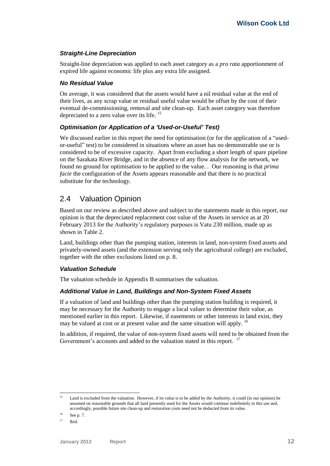## *Straight-Line Depreciation*

Straight-line depreciation was applied to each asset category as a *pro rata* apportionment of expired life against economic life plus any extra life assigned.

#### *No Residual Value*

On average, it was considered that the assets would have a nil residual value at the end of their lives, as any scrap value or residual useful value would be offset by the cost of their eventual de-commissioning, removal and site clean-up. Each asset category was therefore depreciated to a zero value over its life. <sup>15</sup>

## *Optimisation (or Application of a 'Used-or-Useful' Test)*

We discussed earlier in this report the need for optimisation (or for the application of a "usedor-useful" test) to be considered in situations where an asset has no demonstrable use or is considered to be of excessive capacity. Apart from excluding a short length of spare pipeline on the Sarakata River Bridge, and in the absence of any flow analysis for the network, we found no ground for optimisation to be applied to the value. . Our reasoning is that *prima facie* the configuration of the Assets appears reasonable and that there is no practical substitute for the technology.

# <span id="page-17-0"></span>2.4 Valuation Opinion

Based on our review as described above and subject to the statements made in this report, our opinion is that the depreciated replacement cost value of the Assets in service as at 20 February 2013 for the Authority's regulatory purposes is Vatu 230 million, made up as shown in [Table 2.](#page-18-1)

Land, buildings other than the pumping station, interests in land, non-system fixed assets and privately-owned assets (and the extension serving only the agricultural college) are excluded, together with the other exclusions listed on p. [8.](#page-13-1)

## *Valuation Schedule*

The valuation schedule in Appendix B summarises the valuation.

## *Additional Value in Land, Buildings and Non-System Fixed Assets*

If a valuation of land and buildings other than the pumping station building is required, it may be necessary for the Authority to engage a local valuer to determine their value, as mentioned earlier in this report. Likewise, if easements or other interests in land exist, they may be valued at cost or at present value and the same situation will apply. <sup>16</sup>

In addition, if required, the value of non-system fixed assets will need to be obtained from the Government's accounts and added to the valuation stated in this report. <sup>17</sup>

<sup>15</sup> <sup>15</sup> Land is excluded from the valuation. However, if its value is to be added by the Authority, it could (in our opinion) be assumed on reasonable grounds that all land presently used for the Assets would continue indefinitely in this use and, accordingly, possible future site clean-up and restoration costs need not be deducted from its value.

 $16$  See p[. 7.](#page-12-0)

 $17$  Ibid.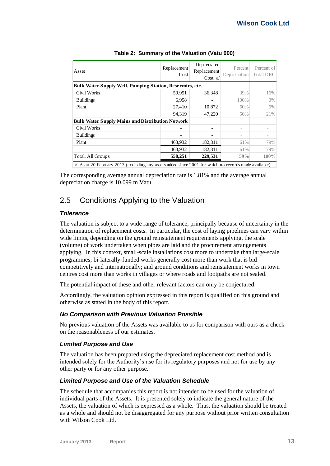<span id="page-18-1"></span>

| Asset                                                     | Replacement<br>Cost | Depreciated<br>Replacement<br>$Cost \alpha$ | Percent<br>Depreciation | Percent of<br>Total DRC |
|-----------------------------------------------------------|---------------------|---------------------------------------------|-------------------------|-------------------------|
| Bulk Water Supply Well, Pumping Station, Reservoirs, etc. |                     |                                             |                         |                         |
| <b>Civil Works</b>                                        | 59,951              | 36,348                                      | 39%                     | 16%                     |
| <b>Buildings</b>                                          | 6,958               |                                             | 100%                    | $0\%$                   |
| Plant                                                     | 27,410              | 10,872                                      | 60%                     | 5%                      |
|                                                           | 94,319              | 47,220                                      | 50%                     | 21%                     |
| <b>Bulk Water Supply Mains and Distribution Network</b>   |                     |                                             |                         |                         |
| <b>Civil Works</b>                                        |                     |                                             |                         |                         |
| <b>Buildings</b>                                          |                     |                                             |                         |                         |
| Plant                                                     | 463,932             | 182,311                                     | 61%                     | 79%                     |
|                                                           | 463,932             | 182,311                                     | 61%                     | 79%                     |
| Total, All Groups                                         | 558,251             | 229,531                                     | 59%                     | 100%                    |

#### **Table 2: Summary of the Valuation (Vatu 000)**

a/ As at 20 February 2013 (excluding any assets added since 2001 for which no records made available).

The corresponding average annual depreciation rate is 1.81% and the average annual depreciation charge is 10.099 m Vatu.

# <span id="page-18-0"></span>2.5 Conditions Applying to the Valuation

## *Tolerance*

The valuation is subject to a wide range of tolerance, principally because of uncertainty in the determination of replacement costs. In particular, the cost of laying pipelines can vary within wide limits, depending on the ground reinstatement requirements applying, the scale (volume) of work undertaken when pipes are laid and the procurement arrangements applying. In this context, small-scale installations cost more to undertake than large-scale programmes; bi-laterally-funded works generally cost more than work that is bid competitively and internationally; and ground conditions and reinstatement works in town centres cost more than works in villages or where roads and footpaths are not sealed.

The potential impact of these and other relevant factors can only be conjectured.

Accordingly, the valuation opinion expressed in this report is qualified on this ground and otherwise as stated in the body of this report.

## *No Comparison with Previous Valuation Possible*

No previous valuation of the Assets was available to us for comparison with ours as a check on the reasonableness of our estimates.

## *Limited Purpose and Use*

The valuation has been prepared using the depreciated replacement cost method and is intended solely for the Authority's use for its regulatory purposes and not for use by any other party or for any other purpose.

## *Limited Purpose and Use of the Valuation Schedule*

The schedule that accompanies this report is not intended to be used for the valuation of individual parts of the Assets. It is presented solely to indicate the general nature of the Assets, the valuation of which is expressed as a whole. Thus, the valuation should be treated as a whole and should not be disaggregated for any purpose without prior written consultation with Wilson Cook Ltd.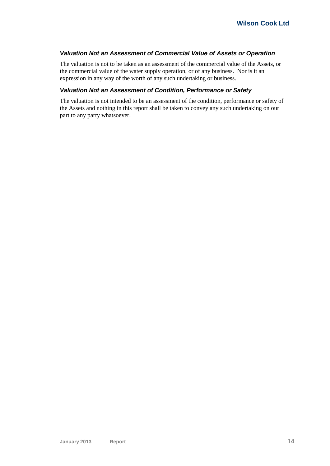#### *Valuation Not an Assessment of Commercial Value of Assets or Operation*

The valuation is not to be taken as an assessment of the commercial value of the Assets, or the commercial value of the water supply operation, or of any business. Nor is it an expression in any way of the worth of any such undertaking or business.

#### *Valuation Not an Assessment of Condition, Performance or Safety*

The valuation is not intended to be an assessment of the condition, performance or safety of the Assets and nothing in this report shall be taken to convey any such undertaking on our part to any party whatsoever.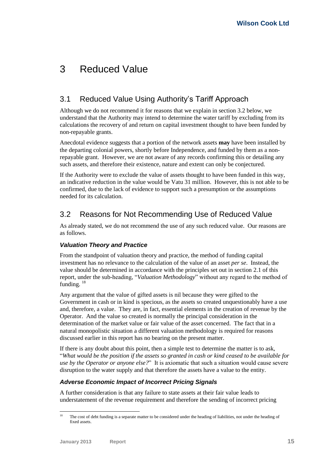# <span id="page-20-0"></span>3 Reduced Value

# <span id="page-20-1"></span>3.1 Reduced Value Using Authority's Tariff Approach

Although we do not recommend it for reasons that we explain in section [3.2](#page-20-2) below, we understand that the Authority may intend to determine the water tariff by excluding from its calculations the recovery of and return on capital investment thought to have been funded by non-repayable grants.

Anecdotal evidence suggests that a portion of the network assets **may** have been installed by the departing colonial powers, shortly before Independence, and funded by them as a nonrepayable grant. However, we are not aware of any records confirming this or detailing any such assets, and therefore their existence, nature and extent can only be conjectured.

If the Authority were to exclude the value of assets thought to have been funded in this way, an indicative reduction in the value would be Vatu 31 million. However, this is not able to be confirmed, due to the lack of evidence to support such a presumption or the assumptions needed for its calculation.

# <span id="page-20-2"></span>3.2 Reasons for Not Recommending Use of Reduced Value

As already stated, we do not recommend the use of any such reduced value. Our reasons are as follows.

# *Valuation Theory and Practice*

From the standpoint of valuation theory and practice, the method of funding capital investment has no relevance to the calculation of the value of an asset *per se*. Instead, the value should be determined in accordance with the principles set out in section [2.1](#page-10-1) of this report, under the sub-heading, "*[Valuation Methodology](#page-10-2)*" without any regard to the method of funding.  $18$ 

Any argument that the value of gifted assets is nil because they were gifted to the Government in cash or in kind is specious, as the assets so created unquestionably have a use and, therefore, a value. They are, in fact, essential elements in the creation of revenue by the Operator. And the value so created is normally the principal consideration in the determination of the market value or fair value of the asset concerned. The fact that in a natural monopolistic situation a different valuation methodology is required for reasons discussed earlier in this report has no bearing on the present matter.

If there is any doubt about this point, then a simple test to determine the matter is to ask, "*What would be the position if the assets so granted in cash or kind ceased to be available for use by the Operator or anyone else?*" It is axiomatic that such a situation would cause severe disruption to the water supply and that therefore the assets have a value to the entity.

# *Adverse Economic Impact of Incorrect Pricing Signals*

A further consideration is that any failure to state assets at their fair value leads to understatement of the revenue requirement and therefore the sending of incorrect pricing

<sup>18</sup> <sup>18</sup> The cost of debt funding is a separate matter to be considered under the heading of liabilities, not under the heading of fixed assets.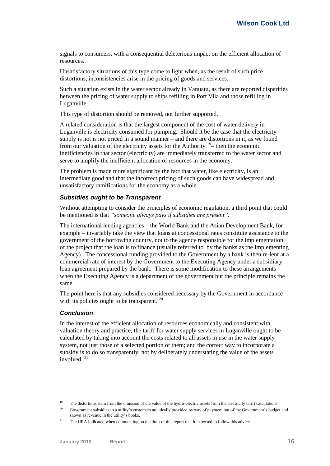signals to consumers, with a consequential deleterious impact on the efficient allocation of resources.

Unsatisfactory situations of this type come to light when, as the result of such price distortions, inconsistencies arise in the pricing of goods and services.

Such a situation exists in the water sector already in Vanuatu, as there are reported disparities between the pricing of water supply to ships refilling in Port Vila and those refilling in Luganville.

This type of distortion should be removed, not further supported.

A related consideration is that the largest component of the cost of water delivery in Luganville is electricity consumed for pumping. Should it be the case that the electricity supply is not is not priced in a sound manner – and there are distortions in it, as we found from our valuation of the electricity assets for the Authority  $19$  – then the economic inefficiencies in that sector (electricity) are immediately transferred to the water sector and serve to amplify the inefficient allocation of resources in the economy.

The problem is made more significant by the fact that water, like electricity, is an intermediate good and that the incorrect pricing of such goods can have widespread and unsatisfactory ramifications for the economy as a whole.

#### *Subsidies ought to be Transparent*

Without attempting to consider the principles of economic regulation, a third point that could be mentioned is that *"someone always pays if subsidies are present".*

The international lending agencies – the World Bank and the Asian Development Bank, for example – invariably take the view that loans at concessional rates constitute assistance to the government of the borrowing country, not to the agency responsible for the implementation of the project that the loan is to finance (usually referred to by the banks as the Implementing Agency). The concessional funding provided to the Government by a bank is then re-lent at a commercial rate of interest by the Government to the Executing Agency under a subsidiary loan agreement prepared by the bank. There is some modification to these arrangements when the Executing Agency is a department of the government but the principle remains the same.

The point here is that any subsidies considered necessary by the Government in accordance with its policies ought to be transparent.<sup>20</sup>

#### *Conclusion*

In the interest of the efficient allocation of resources economically and consistent with valuation theory and practice, the tariff for water supply services in Luganville ought to be calculated by taking into account the costs related to all assets in use in the water supply system, not just those of a selected portion of them; and the correct way to incorporate a subsidy is to do so transparently, not by deliberately understating the value of the assets involved $^{21}$ 

 $19$ The distortions stem from the omission of the value of the hydro-electric assets from the electricity tariff calculations.

<sup>&</sup>lt;sup>20</sup> Government subsidies to a utility's customers are ideally provided by way of payment out of the Government's budget and shown as revenue in the utility's books.

<sup>&</sup>lt;sup>21</sup> The URA indicated when commenting on the draft of this report that it expected to follow this advice.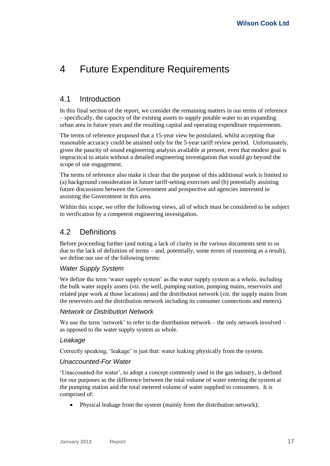# <span id="page-22-0"></span>4 Future Expenditure Requirements

# <span id="page-22-1"></span>4.1 Introduction

In this final section of the report, we consider the remaining matters in our terms of reference – specifically, the capacity of the existing assets to supply potable water to an expanding urban area in future years and the resulting capital and operating expenditure requirements.

The terms of reference proposed that a 15-year view be postulated, whilst accepting that reasonable accuracy could be attained only for the 5-year tariff review period. Unfortunately, given the paucity of sound engineering analysis available at present, even that modest goal is impractical to attain without a detailed engineering investigation that would go beyond the scope of our engagement.

The terms of reference also make it clear that the purpose of this additional work is limited to (a) background consideration in future tariff-setting exercises and (b) potentially assisting future discussions between the Government and prospective aid agencies interested in assisting the Government in this area.

Within this scope, we offer the following views, all of which must be considered to be subject to verification by a competent engineering investigation.

# <span id="page-22-2"></span>4.2 Definitions

Before proceeding further (and noting a lack of clarity in the various documents sent to us due to the lack of definition of terms – and, potentially, some errors of reasoning as a result), we define our use of the following terms:

# *Water Supply System*

We define the term 'water supply system' as the water supply system as a whole, including the bulk water supply assets (*viz.* the well, pumping station, pumping mains, reservoirs and related pipe work at those locations) and the distribution network (*viz.* the supply mains from the reservoirs and the distribution network including its consumer connections and meters).

## *Network or Distribution Network*

We use the term 'network' to refer to the distribution network – the only network involved – as opposed to the water supply system as whole.

## *Leakage*

Correctly speaking, 'leakage' is just that: water leaking physically from the system.

# *Unaccounted-For Water*

'Unaccounted-for water', to adopt a concept commonly used in the gas industry, is defined for our purposes as the difference between the total volume of water entering the system at the pumping station and the total metered volume of water supplied to consumers. It is comprised of:

• Physical leakage from the system (mainly from the distribution network);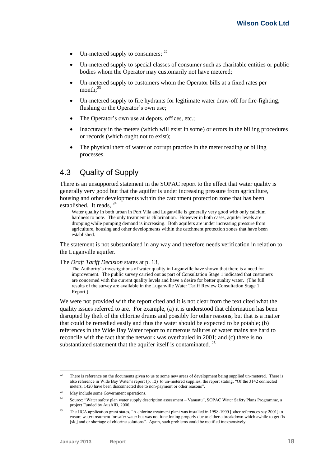- Un-metered supply to consumers;  $^{22}$
- Un-metered supply to special classes of consumer such as charitable entities or public bodies whom the Operator may customarily not have metered;
- Un-metered supply to customers whom the Operator bills at a fixed rates per month: $^{23}$
- Un-metered supply to fire hydrants for legitimate water draw-off for fire-fighting, flushing or the Operator's own use;
- The Operator's own use at depots, offices, etc.;
- Inaccuracy in the meters (which will exist in some) or errors in the billing procedures or records (which ought not to exist);
- The physical theft of water or corrupt practice in the meter reading or billing processes.

# <span id="page-23-0"></span>4.3 Quality of Supply

There is an unsupported statement in the SOPAC report to the effect that water quality is generally very good but that the aquifer is under increasing pressure from agriculture, housing and other developments within the catchment protection zone that has been established. It reads. <sup>24</sup>

Water quality in both urban in Port Vila and Luganville is generally very good with only calcium hardness to note. The only treatment is chlorination. However in both cases, aquifer levels are dropping while pumping demand is increasing. Both aquifers are under increasing pressure from agriculture, housing and other developments within the catchment protection zones that have been established.

The statement is not substantiated in any way and therefore needs verification in relation to the Luganville aquifer.

The *Draft Tariff Decision* states at p. 13,

The Authority's investigations of water quality in Luganville have shown that there is a need for improvement. The public survey carried out as part of Consultation Stage 1 indicated that customers are concerned with the current quality levels and have a desire for better quality water. (The full results of the survey are available in the Luganville Water Tariff Review Consultation Stage 1 Report.)

We were not provided with the report cited and it is not clear from the text cited what the quality issues referred to are. For example, (a) it is understood that chlorination has been disrupted by theft of the chlorine drums and possibly for other reasons, but that is a matter that could be remedied easily and thus the water should be expected to be potable; (b) references in the Wide Bay Water report to numerous failures of water mains are hard to reconcile with the fact that the network was overhauled in 2001; and (c) there is no substantiated statement that the aquifer itself is contaminated.<sup>25</sup>

 $22$ <sup>22</sup> There is reference on the documents given to us to some new areas of development being supplied un-metered. There is also reference in Wide Bay Water's report (p. 12) to un-metered supplies, the report stating, "Of the 3142 connected meters, 1420 have been disconnected due to non-payment or other reasons".

<sup>&</sup>lt;sup>23</sup> May include some Government operations.

<sup>&</sup>lt;sup>24</sup> Source: "Water safety plan water supply description assessment – Vanuatu", SOPAC Water Safety Plans Programme, a project Funded by AusAID, 2006.

<sup>&</sup>lt;sup>25</sup> The JICA application grant states, "A chlorine treatment plant was installed in 1998-1999 [other references say 2001] to ensure water treatment for safer water but was not functioning properly due to either a breakdown which awhile to get fix [sic] and or shortage of chlorine solutions". Again, such problems could be rectified inexpensively.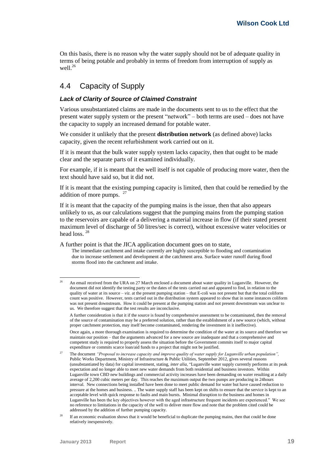On this basis, there is no reason why the water supply should not be of adequate quality in terms of being potable and probably in terms of freedom from interruption of supply as well.<sup>26</sup>

# <span id="page-24-0"></span>4.4 Capacity of Supply

#### *Lack of Clarity of Source of Claimed Constraint*

Various unsubstantiated claims are made in the documents sent to us to the effect that the present water supply system or the present "network" – both terms are used – does not have the capacity to supply an increased demand for potable water.

We consider it unlikely that the present **distribution network** (as defined above) lacks capacity, given the recent refurbishment work carried out on it.

If it is meant that the bulk water supply system lacks capacity, then that ought to be made clear and the separate parts of it examined individually.

For example, if it is meant that the well itself is not capable of producing more water, then the text should have said so, but it did not.

If it is meant that the existing pumping capacity is limited, then that could be remedied by the addition of more pumps.  $27$ 

If it is meant that the capacity of the pumping mains is the issue, then that also appears unlikely to us, as our calculations suggest that the pumping mains from the pumping station to the reservoirs are capable of a delivering a material increase in flow (if their stated present maximum level of discharge of 50 litres/sec is correct), without excessive water velocities or head loss. <sup>28</sup>

A further point is that the JICA application document goes on to state,

The immediate catchment and intake currently are highly susceptible to flooding and contamination due to increase settlement and development at the catchment area. Surface water runoff during flood storms flood into the catchment and intake.

<sup>26</sup> <sup>26</sup> An email received from the URA on 27 March enclosed a document about water quality in Luganville. However, the document did not identify the testing party or the dates of the tests carried out and appeared to find, in relation to the quality of water at its source – *viz.* at the present pumping station – that E-coli was not present but that the total coliform count was positive. However, tests carried out in the distribution system appeared to show that in some instances coliform was not present downstream. How it could be present at the pumping station and not present downstream was unclear to us. We therefore suggest that the test results are inconclusive.

A further consideration is that it if the source is found by comprehensive assessment to be contaminated, then the removal of the source of contamination may be a preferred solution, rather than the establishment of a new source (which, without proper catchment protection, may itself become contaminated, rendering the investment in it ineffective).

Once again, a more thorough examination is required to determine the condition of the water at its source and therefore we maintain our position – that the arguments advanced for a new source are inadequate and that a comprehensive and competent study is required to properly assess the situation before the Government commits itself to major capital expenditure or commits scarce loan/aid funds to a project that might not be justified.

<sup>27</sup> The document *"Proposal to increase capacity and improve quality of water supply for Luganville urban population",* Public Works Department, Ministry of Infrastructure & Public Utilities, September 2012, gives several reasons (unsubstantiated by data) for capital investment, stating, *inter alia*, "Luganville water supply currently performs at its peak expectation and no longer able to meet new water demands from both residential and business investors. Within Luganville town CBD new buildings and commercial activity increases have been demanding on water resulting at a daily average of 2,200 cubic meters per day. This reaches the maximum output the two pumps are producing in 24hours interval. New connections being installed have been done to meet public demand for water but have caused reduction to pressure at the homes and business. .. The water supply staff has been kept on shifts to ensure that the service is kept to an acceptable level with quick response to faults and main bursts. Minimal disruption to the business and homes in Luganville has been the key objectives however with the aged infrastructure frequent incidents are experienced." We see no reference to limitations in the capacity of the well to deliver more flow and note that the problem cited could be addressed by the addition of further pumping capacity.

<sup>&</sup>lt;sup>28</sup> If an economic evaluation shows that it would be beneficial to duplicate the pumping mains, then that could be done relatively inexpensively.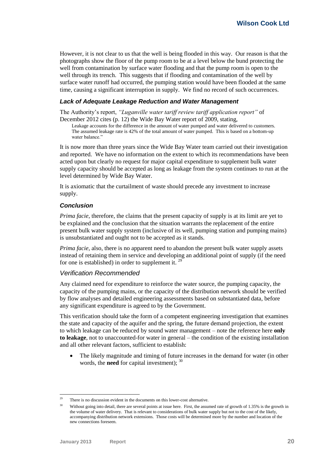However, it is not clear to us that the well is being flooded in this way. Our reason is that the photographs show the floor of the pump room to be at a level below the bund protecting the well from contamination by surface water flooding and that the pump room is open to the well through its trench. This suggests that if flooding and contamination of the well by surface water runoff had occurred, the pumping station would have been flooded at the same time, causing a significant interruption in supply. We find no record of such occurrences.

#### *Lack of Adequate Leakage Reduction and Water Management*

The Authority's report, *"Luganville water tariff review tariff application report"* of December 2012 cites (p. 12) the Wide Bay Water report of 2009, stating,

Leakage accounts for the difference in the amount of water pumped and water delivered to customers. The assumed leakage rate is 42% of the total amount of water pumped. This is based on a bottom-up water balance."

It is now more than three years since the Wide Bay Water team carried out their investigation and reported. We have no information on the extent to which its recommendations have been acted upon but clearly no request for major capital expenditure to supplement bulk water supply capacity should be accepted as long as leakage from the system continues to run at the level determined by Wide Bay Water.

It is axiomatic that the curtailment of waste should precede any investment to increase supply.

#### *Conclusion*

*Prima facie*, therefore, the claims that the present capacity of supply is at its limit are yet to be explained and the conclusion that the situation warrants the replacement of the entire present bulk water supply system (inclusive of its well, pumping station and pumping mains) is unsubstantiated and ought not to be accepted as it stands.

*Prima facie*, also, there is no apparent need to abandon the present bulk water supply assets instead of retaining them in service and developing an additional point of supply (if the need for one is established) in order to supplement it.  $29$ 

#### *Verification Recommended*

Any claimed need for expenditure to reinforce the water source, the pumping capacity, the capacity of the pumping mains, or the capacity of the distribution network should be verified by flow analyses and detailed engineering assessments based on substantiated data, before any significant expenditure is agreed to by the Government.

This verification should take the form of a competent engineering investigation that examines the state and capacity of the aquifer and the spring, the future demand projection, the extent to which leakage can be reduced by sound water management – note the reference here **only to leakage**, not to unaccounted-for water in general – the condition of the existing installation and all other relevant factors, sufficient to establish:

 The likely magnitude and timing of future increases in the demand for water (in other words, the **need** for capital investment); <sup>30</sup>

<sup>1</sup>  $29$  There is no discussion evident in the documents on this lower-cost alternative.

<sup>&</sup>lt;sup>30</sup> Without going into detail, there are several points at issue here. First, the assumed rate of growth of 1.35% is the growth in the volume of water delivery. That is relevant to considerations of bulk water supply but not to the cost of the likely, accompanying distribution network extensions. Those costs will be determined more by the number and location of the new connections foreseen.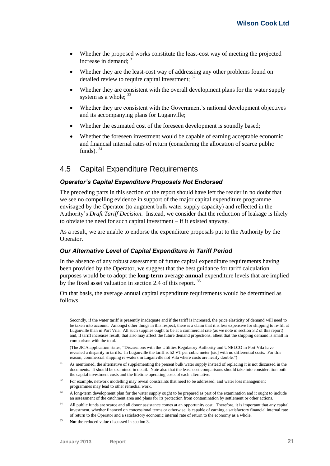- Whether the proposed works constitute the least-cost way of meeting the projected increase in demand; <sup>31</sup>
- Whether they are the least-cost way of addressing any other problems found on detailed review to require capital investment; <sup>32</sup>
- Whether they are consistent with the overall development plans for the water supply system as a whole;  $33$
- Whether they are consistent with the Government's national development objectives and its accompanying plans for Luganville;
- Whether the estimated cost of the foreseen development is soundly based;
- Whether the foreseen investment would be capable of earning acceptable economic and financial internal rates of return (considering the allocation of scarce public funds).  $34$

# <span id="page-26-0"></span>4.5 Capital Expenditure Requirements

#### *Operator's Capital Expenditure Proposals Not Endorsed*

The preceding parts in this section of the report should have left the reader in no doubt that we see no compelling evidence in support of the major capital expenditure programme envisaged by the Operator (to augment bulk water supply capacity) and reflected in the Authority's *Draft Tariff Decision.* Instead, we consider that the reduction of leakage is likely to obviate the need for such capital investment – if it existed anyway.

As a result, we are unable to endorse the expenditure proposals put to the Authority by the Operator.

#### *Our Alternative Level of Capital Expenditure in Tariff Period*

In the absence of any robust assessment of future capital expenditure requirements having been provided by the Operator, we suggest that the best guidance for tariff calculation purposes would be to adopt the **long-term** average **annual** expenditure levels that are implied by the fixed asset valuation in section [2.4](#page-17-0) of this report.<sup>35</sup>

On that basis, the average annual capital expenditure requirements would be determined as follows.

Secondly, if the water tariff is presently inadequate and if the tariff is increased, the price elasticity of demand will need to be taken into account. Amongst other things in this respect, there is a claim that it is less expensive for shipping to re-fill at Luganville than in Port Vila. All such supplies ought to be at a commercial rate (as we note in sectio[n 3.2](#page-20-2) of this report) and, if tariff increases result, that also may affect the future demand projections, albeit that the shipping demand is small in comparison with the total.

(The JICA application states, "Discussions with the Utilities Regulatory Authority and UNELCO in Port Vila have revealed a disparity in tariffs. In Luganville the tariff is 52 VT per cubic meter [sic] with no differential costs. For this reason, commercial shipping re-waters in Luganville not Vila where costs are nearly double.")

- <sup>31</sup> As mentioned, the alternative of supplementing the present bulk water supply instead of replacing it is not discussed in the documents. It should be examined in detail. Note also that the least-cost comparisons should take into consideration both the capital investment costs and the lifetime operating costs of each alternative.
- <sup>32</sup> For example, network modelling may reveal constraints that need to be addressed; and water loss management programmes may lead to other remedial work.
- <sup>33</sup> A long-term development plan for the water supply ought to be prepared as part of the examination and it ought to include an assessment of the catchment area and plans for its protection from contamination by settlement or other actions.
- <sup>34</sup> All public funds are scarce and all donor assistance comes at an opportunity cost. Therefore, it is important that any capital investment, whether financed on concessional terms or otherwise, is capable of earning a satisfactory financial internal rate of return to the Operator and a satisfactory economic internal rate of return to the economy as a whole.
- <sup>35</sup> **Not** the reduced value discussed in sectio[n 3.](#page-20-0)

-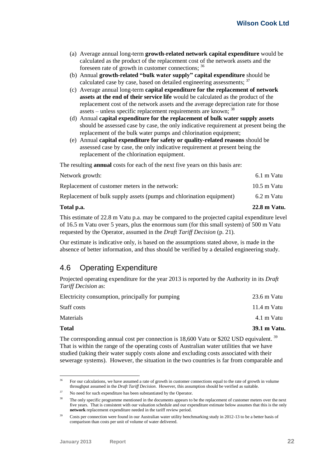- (a) Average annual long-term **growth-related network capital expenditure** would be calculated as the product of the replacement cost of the network assets and the foreseen rate of growth in customer connections; <sup>36</sup>
- (b) Annual **growth-related "bulk water supply" capital expenditure** should be calculated case by case, based on detailed engineering assessments;<sup>37</sup>
- (c) Average annual long-term **capital expenditure for the replacement of network assets at the end of their service life** would be calculated as the product of the replacement cost of the network assets and the average depreciation rate for those assets – unless specific replacement requirements are known; <sup>38</sup>
- (d) Annual **capital expenditure for the replacement of bulk water supply assets** should be assessed case by case, the only indicative requirement at present being the replacement of the bulk water pumps and chlorination equipment;
- (e) Annual **capital expenditure for safety or quality-related reasons** should be assessed case by case, the only indicative requirement at present being the replacement of the chlorination equipment.

The resulting **annual** costs for each of the next five years on this basis are:

| Total p.a.                                                           | 22.8 m Vatu.          |
|----------------------------------------------------------------------|-----------------------|
| Replacement of bulk supply assets (pumps and chlorination equipment) | 6.2 m Vatu            |
| Replacement of customer meters in the network:                       | $10.5 \text{ m}$ Vatu |
| Network growth:                                                      | 6.1 m Vatu            |

This estimate of 22.8 m Vatu p.a. may be compared to the projected capital expenditure level of 16.5 m Vatu over 5 years, plus the enormous sum (for this small system) of 500 m Vatu requested by the Operator, assumed in the *Draft Tariff Decision* (p. 21)*.*

Our estimate is indicative only, is based on the assumptions stated above, is made in the absence of better information, and thus should be verified by a detailed engineering study.

# <span id="page-27-0"></span>4.6 Operating Expenditure

Projected operating expenditure for the year 2013 is reported by the Authority in its *Draft Tariff Decision* as:

| <b>Total</b>                                     | 39.1 m Vatu. |
|--------------------------------------------------|--------------|
| Materials                                        | 4.1 m Vatu   |
| Staff costs                                      | 11.4 m Vatu  |
| Electricity consumption, principally for pumping | 23.6 m Vatu  |

The corresponding annual cost per connection is  $18,600$  Vatu or \$202 USD equivalent. <sup>39</sup> That is within the range of the operating costs of Australian water utilities that we have studied (taking their water supply costs alone and excluding costs associated with their sewerage systems). However, the situation in the two countries is far from comparable and

 $36$ <sup>36</sup> For our calculations, we have assumed a rate of growth in customer connections equal to the rate of growth in volume throughput assumed in the *Draft Tariff Decision*. However, this assumption should be verified as suitable.

No need for such expenditure has been substantiated by the Operator.

<sup>&</sup>lt;sup>38</sup> The only specific programme mentioned in the documents appears to be the replacement of customer meters over the next five years. That is consistent with our valuation schedule and our expenditure estimate below assumes that this is the only **network** replacement expenditure needed in the tariff review period.

<sup>&</sup>lt;sup>39</sup> Costs per connection were found in our Australian water utility benchmarking study in 2012-13 to be a better basis of comparison than costs per unit of volume of water delivered.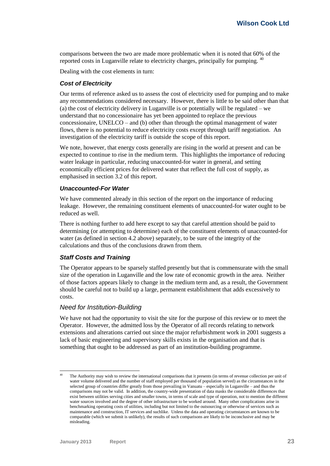comparisons between the two are made more problematic when it is noted that 60% of the reported costs in Luganville relate to electricity charges, principally for pumping. <sup>40</sup>

Dealing with the cost elements in turn:

#### *Cost of Electricity*

Our terms of reference asked us to assess the cost of electricity used for pumping and to make any recommendations considered necessary. However, there is little to be said other than that (a) the cost of electricity delivery in Luganville is or potentially will be regulated – we understand that no concessionaire has yet been appointed to replace the previous concessionaire, UNELCO – and (b) other than through the optimal management of water flows, there is no potential to reduce electricity costs except through tariff negotiation. An investigation of the electricity tariff is outside the scope of this report.

We note, however, that energy costs generally are rising in the world at present and can be expected to continue to rise in the medium term. This highlights the importance of reducing water leakage in particular, reducing unaccounted-for water in general, and setting economically efficient prices for delivered water that reflect the full cost of supply, as emphasised in section [3.2](#page-20-2) of this report.

#### *Unaccounted-For Water*

We have commented already in this section of the report on the importance of reducing leakage. However, the remaining constituent elements of unaccounted-for water ought to be reduced as well.

There is nothing further to add here except to say that careful attention should be paid to determining (or attempting to determine) each of the constituent elements of unaccounted-for water (as defined in sectio[n 4.2](#page-22-2) above) separately, to be sure of the integrity of the calculations and thus of the conclusions drawn from them.

#### *Staff Costs and Training*

The Operator appears to be sparsely staffed presently but that is commensurate with the small size of the operation in Luganville and the low rate of economic growth in the area. Neither of those factors appears likely to change in the medium term and, as a result, the Government should be careful not to build up a large, permanent establishment that adds excessively to costs.

#### *Need for Institution-Building*

We have not had the opportunity to visit the site for the purpose of this review or to meet the Operator. However, the admitted loss by the Operator of all records relating to network extensions and alterations carried out since the major refurbishment work in 2001 suggests a lack of basic engineering and supervisory skills exists in the organisation and that is something that ought to be addressed as part of an institution-building programme.

-

The Authority may wish to review the international comparisons that it presents (in terms of revenue collection per unit of water volume delivered and the number of staff employed per thousand of population served) as the circumstances in the selected group of countries differ greatly from those prevailing in Vanuatu – especially in Luganville – and thus the comparisons may not be valid. In addition, the country-wide presentation of data masks the considerable differences that exist between utilities serving cities and smaller towns, in terms of scale and type of operation, not to mention the different water sources involved and the degree of other infrastructure to be worked around. Many other complications arise in benchmarking operating costs of utilities, including but not limited to the outsourcing or otherwise of services such as maintenance and construction, IT services and suchlike. Unless the data and operating circumstances are known to be comparable (which we submit is unlikely), the results of such comparisons are likely to be inconclusive and may be misleading.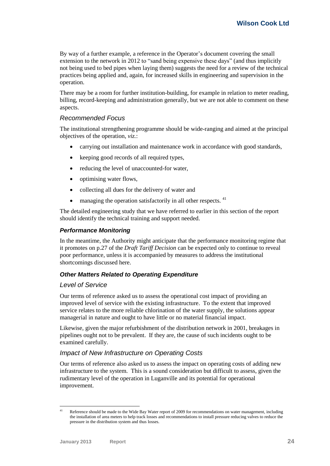By way of a further example, a reference in the Operator's document covering the small extension to the network in 2012 to "sand being expensive these days" (and thus implicitly not being used to bed pipes when laying them) suggests the need for a review of the technical practices being applied and, again, for increased skills in engineering and supervision in the operation.

There may be a room for further institution-building, for example in relation to meter reading, billing, record-keeping and administration generally, but we are not able to comment on these aspects.

#### *Recommended Focus*

The institutional strengthening programme should be wide-ranging and aimed at the principal objectives of the operation, *viz.*:

- carrying out installation and maintenance work in accordance with good standards,
- keeping good records of all required types,
- reducing the level of unaccounted-for water,
- optimising water flows.
- collecting all dues for the delivery of water and
- managing the operation satisfactorily in all other respects. <sup>41</sup>

The detailed engineering study that we have referred to earlier in this section of the report should identify the technical training and support needed.

#### *Performance Monitoring*

In the meantime, the Authority might anticipate that the performance monitoring regime that it promotes on p.27 of the *Draft Tariff Decision* can be expected only to continue to reveal poor performance, unless it is accompanied by measures to address the institutional shortcomings discussed here.

## *Other Matters Related to Operating Expenditure*

#### *Level of Service*

Our terms of reference asked us to assess the operational cost impact of providing an improved level of service with the existing infrastructure. To the extent that improved service relates to the more reliable chlorination of the water supply, the solutions appear managerial in nature and ought to have little or no material financial impact.

Likewise, given the major refurbishment of the distribution network in 2001, breakages in pipelines ought not to be prevalent. If they are, the cause of such incidents ought to be examined carefully.

## *Impact of New Infrastructure on Operating Costs*

Our terms of reference also asked us to assess the impact on operating costs of adding new infrastructure to the system. This is a sound consideration but difficult to assess, given the rudimentary level of the operation in Luganville and its potential for operational improvement.

 $41$ Reference should be made to the Wide Bay Water report of 2009 for recommendations on water management, including the installation of area meters to help track losses and recommendations to install pressure reducing valves to reduce the pressure in the distribution system and thus losses.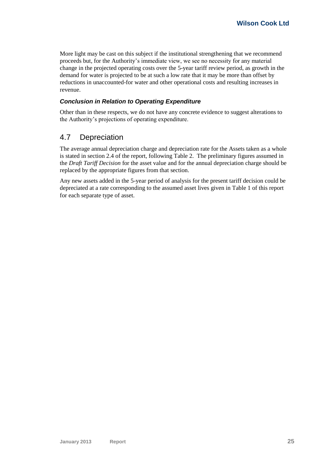More light may be cast on this subject if the institutional strengthening that we recommend proceeds but, for the Authority's immediate view, we see no necessity for any material change in the projected operating costs over the 5-year tariff review period, as growth in the demand for water is projected to be at such a low rate that it may be more than offset by reductions in unaccounted-for water and other operational costs and resulting increases in revenue.

# *Conclusion in Relation to Operating Expenditure*

Other than in these respects, we do not have any concrete evidence to suggest alterations to the Authority's projections of operating expenditure.

# <span id="page-30-0"></span>4.7 Depreciation

The average annual depreciation charge and depreciation rate for the Assets taken as a whole is stated in sectio[n 2.4](#page-17-0) of the report, followin[g Table 2.](#page-18-1) The preliminary figures assumed in the *Draft Tariff Decision* for the asset value and for the annual depreciation charge should be replaced by the appropriate figures from that section.

Any new assets added in the 5-year period of analysis for the present tariff decision could be depreciated at a rate corresponding to the assumed asset lives given in [Table 1](#page-16-0) of this report for each separate type of asset.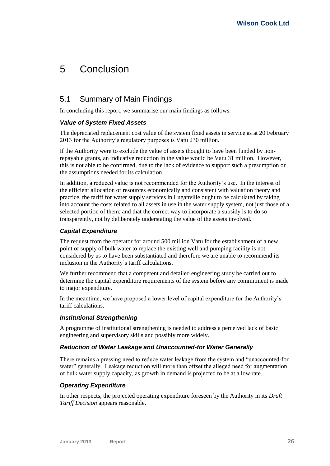# <span id="page-31-0"></span>5 Conclusion

# <span id="page-31-1"></span>5.1 Summary of Main Findings

In concluding this report, we summarise our main findings as follows.

## *Value of System Fixed Assets*

The depreciated replacement cost value of the system fixed assets in service as at 20 February 2013 for the Authority's regulatory purposes is Vatu 230 million.

If the Authority were to exclude the value of assets thought to have been funded by nonrepayable grants, an indicative reduction in the value would be Vatu 31 million. However, this is not able to be confirmed, due to the lack of evidence to support such a presumption or the assumptions needed for its calculation.

In addition, a reduced value is not recommended for the Authority's use. In the interest of the efficient allocation of resources economically and consistent with valuation theory and practice, the tariff for water supply services in Luganville ought to be calculated by taking into account the costs related to all assets in use in the water supply system, not just those of a selected portion of them; and that the correct way to incorporate a subsidy is to do so transparently, not by deliberately understating the value of the assets involved.

## *Capital Expenditure*

The request from the operator for around 500 million Vatu for the establishment of a new point of supply of bulk water to replace the existing well and pumping facility is not considered by us to have been substantiated and therefore we are unable to recommend its inclusion in the Authority's tariff calculations.

We further recommend that a competent and detailed engineering study be carried out to determine the capital expenditure requirements of the system before any commitment is made to major expenditure.

In the meantime, we have proposed a lower level of capital expenditure for the Authority's tariff calculations.

## *Institutional Strengthening*

A programme of institutional strengthening is needed to address a perceived lack of basic engineering and supervisory skills and possibly more widely.

## *Reduction of Water Leakage and Unaccounted-for Water Generally*

There remains a pressing need to reduce water leakage from the system and "unaccounted-for water" generally. Leakage reduction will more than offset the alleged need for augmentation of bulk water supply capacity, as growth in demand is projected to be at a low rate.

# *Operating Expenditure*

In other respects, the projected operating expenditure foreseen by the Authority in its *Draft Tariff Decision* appears reasonable.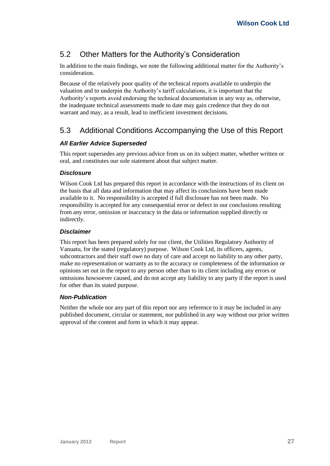# <span id="page-32-0"></span>5.2 Other Matters for the Authority's Consideration

In addition to the main findings, we note the following additional matter for the Authority's consideration.

Because of the relatively poor quality of the technical reports available to underpin the valuation and to underpin the Authority's tariff calculations, it is important that the Authority's reports avoid endorsing the technical documentation in any way as, otherwise, the inadequate technical assessments made to date may gain credence that they do not warrant and may, as a result, lead to inefficient investment decisions.

# <span id="page-32-1"></span>5.3 Additional Conditions Accompanying the Use of this Report

# *All Earlier Advice Superseded*

This report supersedes any previous advice from us on its subject matter, whether written or oral, and constitutes our sole statement about that subject matter.

# *Disclosure*

Wilson Cook Ltd has prepared this report in accordance with the instructions of its client on the basis that all data and information that may affect its conclusions have been made available to it. No responsibility is accepted if full disclosure has not been made. No responsibility is accepted for any consequential error or defect in our conclusions resulting from any error, omission or inaccuracy in the data or information supplied directly or indirectly.

## *Disclaimer*

This report has been prepared solely for our client, the Utilities Regulatory Authority of Vanuatu, for the stated (regulatory) purpose. Wilson Cook Ltd, its officers, agents, subcontractors and their staff owe no duty of care and accept no liability to any other party, make no representation or warranty as to the accuracy or completeness of the information or opinions set out in the report to any person other than to its client including any errors or omissions howsoever caused, and do not accept any liability to any party if the report is used for other than its stated purpose.

## *Non-Publication*

Neither the whole nor any part of this report nor any reference to it may be included in any published document, circular or statement, nor published in any way without our prior written approval of the content and form in which it may appear.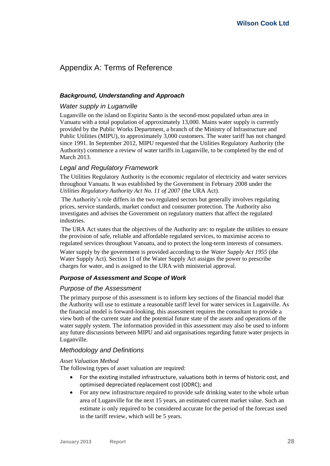# <span id="page-33-0"></span>Appendix A: Terms of Reference

## *Background, Understanding and Approach*

## *Water supply in Luganville*

Luganville on the island on Espiritu Santo is the second-most populated urban area in Vanuatu with a total population of approximately 13,000. Mains water supply is currently provided by the Public Works Department, a branch of the Ministry of Infrastructure and Public Utilities (MIPU), to approximately 3,000 customers. The water tariff has not changed since 1991. In September 2012, MIPU requested that the Utilities Regulatory Authority (the Authority) commence a review of water tariffs in Luganville, to be completed by the end of March 2013.

# *Legal and Regulatory Framework*

The Utilities Regulatory Authority is the economic regulator of electricity and water services throughout Vanuatu. It was established by the Government in February 2008 under the *Utilities Regulatory Authority Act No. 11 of 2007* (the URA Act).

The Authority's role differs in the two regulated sectors but generally involves regulating prices, service standards, market conduct and consumer protection. The Authority also investigates and advises the Government on regulatory matters that affect the regulated industries.

The URA Act states that the objectives of the Authority are: to regulate the utilities to ensure the provision of safe, reliable and affordable regulated services, to maximise access to regulated services throughout Vanuatu, and to protect the long-term interests of consumers.

Water supply by the government is provided according to the *Water Supply Act 1955* (the Water Supply Act). Section 11 of the Water Supply Act assigns the power to prescribe charges for water, and is assigned to the URA with ministerial approval.

# *Purpose of Assessment and Scope of Work*

## *Purpose of the Assessment*

The primary purpose of this assessment is to inform key sections of the financial model that the Authority will use to estimate a reasonable tariff level for water services in Luganville. As the financial model is forward-looking, this assessment requires the consultant to provide a view both of the current state and the potential future state of the assets and operations of the water supply system. The information provided in this assessment may also be used to inform any future discussions between MIPU and aid organisations regarding future water projects in Luganville.

## *Methodology and Definitions*

#### *Asset Valuation Method*

The following types of asset valuation are required:

- For the existing installed infrastructure, valuations both in terms of historic cost, and optimised depreciated replacement cost (ODRC); and
- For any new infrastructure required to provide safe drinking water to the whole urban area of Luganville for the next 15 years, an estimated current market value. Such an estimate is only required to be considered accurate for the period of the forecast used in the tariff review, which will be 5 years.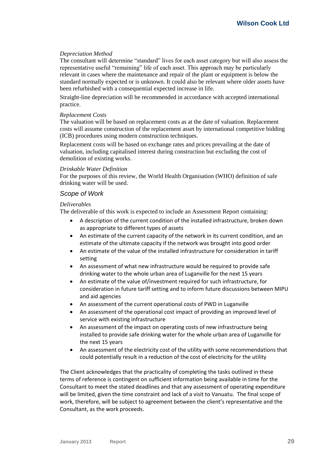#### *Depreciation Method*

The consultant will determine "standard" lives for each asset category but will also assess the representative useful "remaining" life of each asset. This approach may be particularly relevant in cases where the maintenance and repair of the plant or equipment is below the standard normally expected or is unknown. It could also be relevant where older assets have been refurbished with a consequential expected increase in life.

Straight-line depreciation will be recommended in accordance with accepted international practice.

#### *Replacement Costs*

The valuation will be based on replacement costs as at the date of valuation. Replacement costs will assume construction of the replacement asset by international competitive bidding (ICB) procedures using modern construction techniques.

Replacement costs will be based on exchange rates and prices prevailing at the date of valuation, including capitalised interest during construction but excluding the cost of demolition of existing works.

#### *Drinkable Water Definition*

For the purposes of this review, the World Health Organisation (WHO) definition of safe drinking water will be used.

#### *Scope of Work*

#### *Deliverables*

The deliverable of this work is expected to include an Assessment Report containing:

- A description of the current condition of the installed infrastructure, broken down as appropriate to different types of assets
- An estimate of the current capacity of the network in its current condition, and an estimate of the ultimate capacity if the network was brought into good order
- An estimate of the value of the installed infrastructure for consideration in tariff setting
- An assessment of what new infrastructure would be required to provide safe drinking water to the whole urban area of Luganville for the next 15 years
- An estimate of the value of/investment required for such infrastructure, for consideration in future tariff setting and to inform future discussions between MIPU and aid agencies
- An assessment of the current operational costs of PWD in Luganville
- An assessment of the operational cost impact of providing an improved level of service with existing infrastructure
- An assessment of the impact on operating costs of new infrastructure being installed to provide safe drinking water for the whole urban area of Luganville for the next 15 years
- An assessment of the electricity cost of the utility with some recommendations that could potentially result in a reduction of the cost of electricity for the utility

The Client acknowledges that the practicality of completing the tasks outlined in these terms of reference is contingent on sufficient information being available in time for the Consultant to meet the stated deadlines and that any assessment of operating expenditure will be limited, given the time constraint and lack of a visit to Vanuatu. The final scope of work, therefore, will be subject to agreement between the client's representative and the Consultant, as the work proceeds.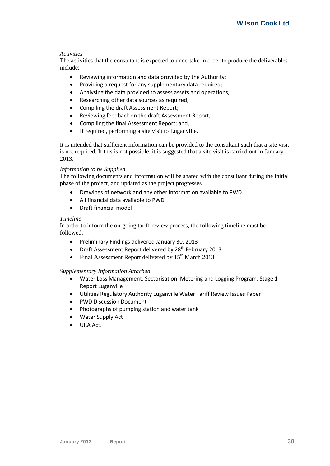#### *Activities*

The activities that the consultant is expected to undertake in order to produce the deliverables include:

- Reviewing information and data provided by the Authority;
- Providing a request for any supplementary data required;
- Analysing the data provided to assess assets and operations;
- Researching other data sources as required;
- Compiling the draft Assessment Report;
- Reviewing feedback on the draft Assessment Report;
- Compiling the final Assessment Report; and,
- If required, performing a site visit to Luganville.

It is intended that sufficient information can be provided to the consultant such that a site visit is not required. If this is not possible, it is suggested that a site visit is carried out in January 2013.

#### *Information to be Supplied*

The following documents and information will be shared with the consultant during the initial phase of the project, and updated as the project progresses.

- Drawings of network and any other information available to PWD
- All financial data available to PWD
- Draft financial model

#### *Timeline*

In order to inform the on-going tariff review process, the following timeline must be followed:

- Preliminary Findings delivered January 30, 2013
- Draft Assessment Report delivered by  $28<sup>th</sup>$  February 2013
- Final Assessment Report delivered by  $15<sup>th</sup>$  March 2013

## *Supplementary Information Attached*

- Water Loss Management, Sectorisation, Metering and Logging Program, Stage 1 Report Luganville
- Utilities Regulatory Authority Luganville Water Tariff Review Issues Paper
- PWD Discussion Document
- Photographs of pumping station and water tank
- Water Supply Act
- URA Act.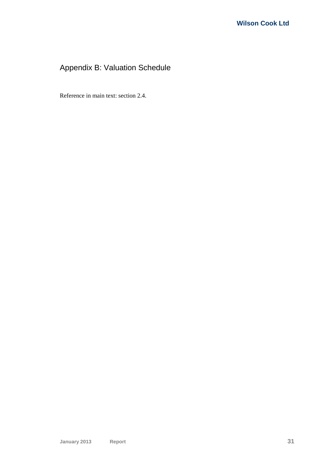# <span id="page-36-0"></span>Appendix B: Valuation Schedule

Reference in main text: section [2.4.](#page-17-0)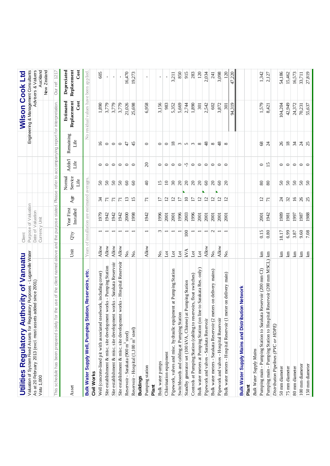| hority of Vanuatu<br><b>Utilities Regulatory Aut</b>                        |                         | Client                   |                               |                 |                           |                           |                   | Wilson Cook Ltd                         |                                    |
|-----------------------------------------------------------------------------|-------------------------|--------------------------|-------------------------------|-----------------|---------------------------|---------------------------|-------------------|-----------------------------------------|------------------------------------|
| Valuation of System Fixed Assets for Regulatory Purposes - Luganville Water |                         |                          | Purpose of Valuation          |                 |                           |                           |                   | Engineering & Management Consultants    |                                    |
| added since 2001)<br>As at 20 February 2013 (excl. most assets              |                         |                          | Date of Valuation             |                 |                           |                           |                   |                                         | Advisers & Valuers                 |
| Vatu 1,000                                                                  |                         | Currency Unit            |                               |                 |                           |                           |                   |                                         | Auckland                           |
|                                                                             |                         |                          |                               |                 |                           |                           |                   |                                         | New Zealand                        |
| the use of the client named<br>This schedule has been prepared solely for   |                         |                          | above and the purpose stated. |                 | Please refer to           |                           |                   | accompanying report for interpretation. | Our ref: 1217                      |
| Asset                                                                       | Unit                    | Ω,Ò                      | Year First<br>Installed       | Age             | Normal<br>Service<br>Life | Addn <sup>1</sup><br>Life | Remaining<br>Life | Replacement<br>Estimated<br>Cost        | Depreciated<br>Replacement<br>Cost |
| Bulk Water Supply Well, Pumping Station, Reservoirs, etc                    | Years                   |                          | of installation are estimated |                 | averages                  |                           |                   | No residual values have been applied    |                                    |
| Civil Works                                                                 |                         |                          |                               |                 |                           |                           |                   |                                         |                                    |
| Well (concrete-lined pit with associated steelwork, including cover)        | Allow                   |                          | 1979                          | $\mathcal{L}$   | $50\,$                    | $\circ$                   | $\overline{16}$   | 1,890                                   | 605                                |
| Site establishment & misc. site development works - Pumping Station         | Allow                   |                          | 1942                          | $\overline{7}$  | 50                        | $\circ$                   | $\circ$           | 3,779                                   |                                    |
| Site establishment & misc. site development works - Sarakata Reservoir      | Allow                   |                          | 1942                          | $\overline{7}1$ | 50                        | $\circ$                   | $\circ$           | 3,779                                   |                                    |
| Site establishment & misc. site development works - Hospital Reservoir      | Allow                   |                          | 1942                          | $\overline{7}$  | $50\,$                    | $\circ$                   | $\circ$           | 3,779                                   |                                    |
| Reservoir - Sarakata (900 m <sup>3</sup> steel)                             | Σò,                     |                          | 2000                          | 13              | $\infty$                  | $\circ$                   | 47                | 21,026                                  | 16,470                             |
| Reservoir - Hospital (1,100 m <sup>3</sup> steel)                           | Χo.                     |                          | 1998                          | $\overline{15}$ | $\infty$                  | $\circ$                   | 45                | 25,698                                  | 19,273                             |
| <b>Buildings</b>                                                            |                         |                          |                               |                 |                           |                           |                   |                                         |                                    |
| Pumping station                                                             | Allow                   | $\overline{\phantom{0}}$ | 1942                          | $\overline{7}$  | $\Theta$                  | $\Omega$                  | $\circ$           | 6,958                                   | $\blacksquare$                     |
| Plant                                                                       |                         |                          |                               |                 |                           |                           |                   |                                         |                                    |
| Bulk water pumps                                                            | Σò.                     | $\sim$                   | 1996                          | $\overline{1}$  | $\frac{5}{1}$             | $\circ$                   | $\circ$           | 3,156                                   | $\mathbf{I}$                       |
| Chlorination equipment                                                      | $_{\rm tot}$            | $\overline{\phantom{0}}$ | 2001                          | $\overline{5}$  | $\overline{10}$           | $\circ$                   | $\circ$           | 983                                     |                                    |
| Pipework, valves and misc. hy draulic equipment at Pumping Station          | $\overline{\mathrm{d}}$ |                          | 2001                          | $\overline{c}$  | $\mathfrak{S}$            | $\circ$                   | $\frac{8}{2}$     | 5,352                                   | 3,211                              |
| Switchboards and cabling at Pumping Station                                 | $_{\rm tot}$            |                          | 1996                          | $\overline{17}$ | $\infty$                  | $\circ$                   | $\omega$          | 5,669                                   | 850                                |
| at Pumping Station<br>Standby generator set (100 kVA, Chinese)              | <b>KVA</b>              | 100                      | 2003                          | $\overline{10}$ | $\infty$                  | $\sqrt{2}$                | $\frac{1}{2}$     | 2,744                                   | 915                                |
| Controls at Pumping Station (cabling to reservoirs, float switches)         | $_{\rm Lot}$            |                          | 1996                          | $\overline{1}$  | $\infty$                  |                           |                   | 1,890                                   | 283                                |
| Bulk water meters at Pumping Station (on line to Sarakata Res. only)        | $_{\rm Lot}$            |                          | 2001                          | $\overline{c}$  | $\Omega$                  | $\circ$                   | $\infty$          | 301                                     | 120                                |
| Pipework and valves - Sarakata Reservoir                                    | Allow                   | $\overline{\phantom{0}}$ | 2001                          | $\overline{5}$  | $\infty$                  | $\circ$                   | 48                | 2,542                                   | 2,034                              |
| Bulk water meters - Sarakata Reservoir (2 meters on delivery mains)         | Σó.                     | $\sim$                   | 2001                          | $\overline{a}$  | $\Omega$                  | $\overline{\phantom{0}}$  | $\infty$          | 602                                     | 241                                |
| Pipework and valves - Hospital Reservoir                                    | Allow                   | $\overline{\phantom{0}}$ | 2001                          | $\overline{5}$  | $\mathcal{C}$             | $\circ$                   | $\frac{8}{3}$     | 3,872                                   | 3,098                              |
| on delivery main)<br>Bulk water meters - Hospital Reservoir (1 meter        | Σó.                     | $\overline{\phantom{0}}$ | <b>2001</b>                   | $\overline{c}$  | $\Omega$                  | $\circ$                   | ${}^{\circ}$      | 301                                     | 120                                |
|                                                                             |                         |                          |                               |                 |                           |                           |                   | 94,319                                  | .220<br>47,                        |
| ution Network<br><b>Bulk Water Supply Mains and Distrib</b>                 |                         |                          |                               |                 |                           |                           |                   |                                         |                                    |
| Plant                                                                       |                         |                          |                               |                 |                           |                           |                   |                                         |                                    |
| <b>Bulk Water Supply Mains</b>                                              |                         |                          |                               |                 |                           |                           |                   |                                         |                                    |
| ta Reservoir (200 mm CI)<br>Pumping main - Pumping Station to Saraka        | 뎥                       | 0.15                     | 2001                          | $\overline{c}$  | 80                        | $\circ$                   | 8                 | 1,579                                   | 1,342                              |
| al Reservoir (200 mm MSCL)<br>Pumping main - Pumping Station to Hospit      | 뎥                       | $0.80\,$                 | 1942                          | $\overline{7}$  | 80                        | $\overline{15}$           | $\overline{24}$   | 8,421                                   | 2,127                              |
| Distribution Pipelines (PVC or HDPE)                                        |                         |                          |                               |                 |                           |                           |                   |                                         |                                    |
| 50 mm diameter                                                              | $\mathbb{E}$            | 18.17                    | 1989                          | $\overline{c}$  | $50\,$                    | $\circ$                   | 26                | 104,204                                 | 54,186                             |
| 75 mm diameter                                                              | $\mathop{\mathrm{Im}}$  | 6.99                     | 1981                          | 32              | $50\,$                    | $\circ$                   | $18\,$            | 42,949                                  | 15,462                             |
| 80 mm diameter                                                              | $\Xi$                   | 3.87                     | 1997                          | 16              | 50                        | $\circ$                   | 34                | 24,372                                  | 16,573                             |
| 100 mm diameter                                                             | $\rm km$                | 9.60                     | 1987                          | 26              | 50                        | $\circ$ $\circ$           | $\frac{24}{25}$   | 70,231                                  | 33,711                             |
| 150 mm diameter                                                             | 且                       | 7.08                     | 1988                          | 25              | 50                        |                           |                   | 55,637                                  | 27,819                             |